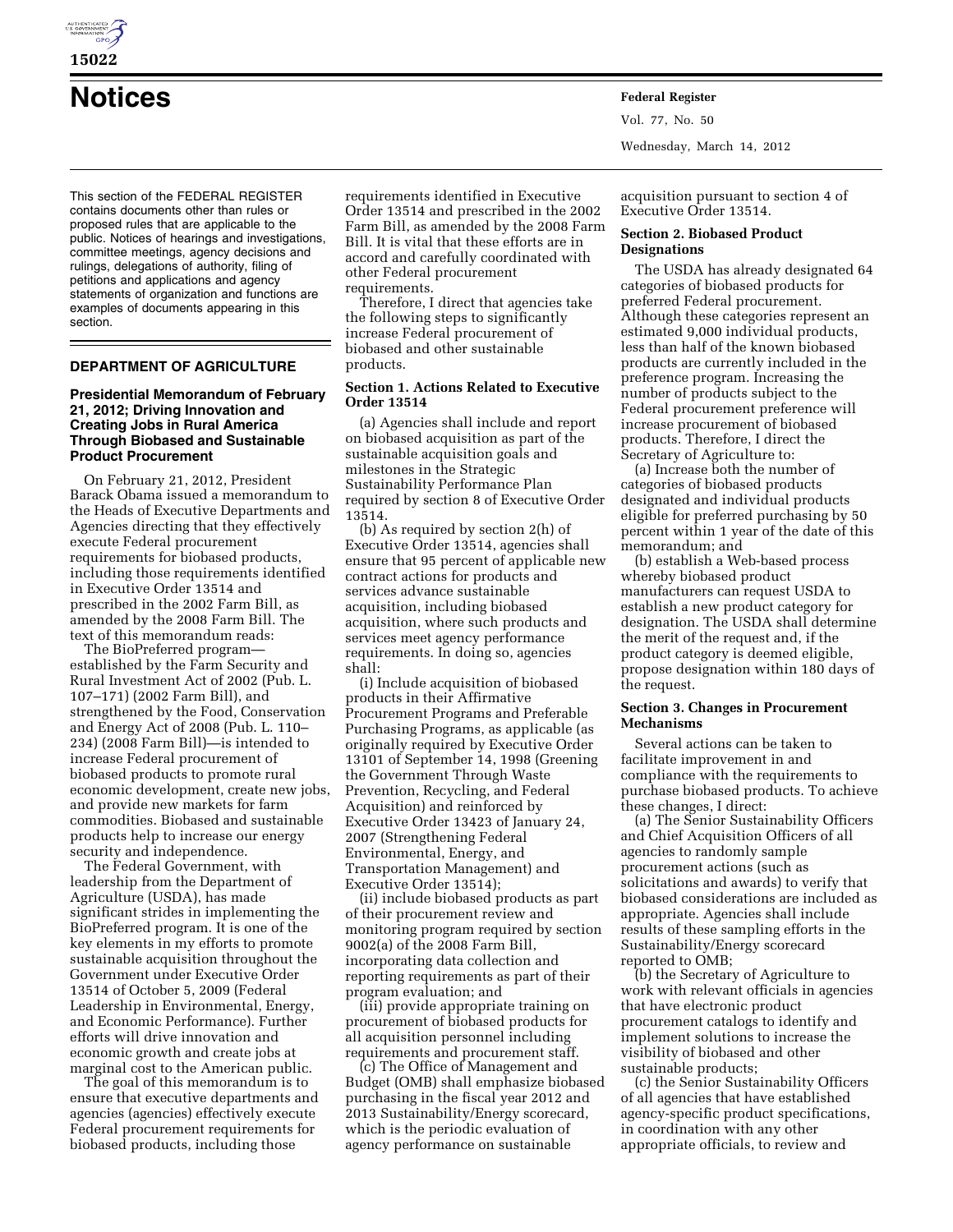

This section of the FEDERAL REGISTER contains documents other than rules or proposed rules that are applicable to the public. Notices of hearings and investigations, committee meetings, agency decisions and rulings, delegations of authority, filing of petitions and applications and agency statements of organization and functions are examples of documents appearing in this section.

# **DEPARTMENT OF AGRICULTURE**

# **Presidential Memorandum of February 21, 2012; Driving Innovation and Creating Jobs in Rural America Through Biobased and Sustainable Product Procurement**

On February 21, 2012, President Barack Obama issued a memorandum to the Heads of Executive Departments and Agencies directing that they effectively execute Federal procurement requirements for biobased products, including those requirements identified in Executive Order 13514 and prescribed in the 2002 Farm Bill, as amended by the 2008 Farm Bill. The text of this memorandum reads:

The BioPreferred program established by the Farm Security and Rural Investment Act of 2002 (Pub. L. 107–171) (2002 Farm Bill), and strengthened by the Food, Conservation and Energy Act of 2008 (Pub. L. 110– 234) (2008 Farm Bill)—is intended to increase Federal procurement of biobased products to promote rural economic development, create new jobs, and provide new markets for farm commodities. Biobased and sustainable products help to increase our energy security and independence.

The Federal Government, with leadership from the Department of Agriculture (USDA), has made significant strides in implementing the BioPreferred program. It is one of the key elements in my efforts to promote sustainable acquisition throughout the Government under Executive Order 13514 of October 5, 2009 (Federal Leadership in Environmental, Energy, and Economic Performance). Further efforts will drive innovation and economic growth and create jobs at marginal cost to the American public.

The goal of this memorandum is to ensure that executive departments and agencies (agencies) effectively execute Federal procurement requirements for biobased products, including those

requirements identified in Executive Order 13514 and prescribed in the 2002 Farm Bill, as amended by the 2008 Farm Bill. It is vital that these efforts are in accord and carefully coordinated with other Federal procurement requirements.

Therefore, I direct that agencies take the following steps to significantly increase Federal procurement of biobased and other sustainable products.

# **Section 1. Actions Related to Executive Order 13514**

(a) Agencies shall include and report on biobased acquisition as part of the sustainable acquisition goals and milestones in the Strategic Sustainability Performance Plan required by section 8 of Executive Order 13514.

(b) As required by section 2(h) of Executive Order 13514, agencies shall ensure that 95 percent of applicable new contract actions for products and services advance sustainable acquisition, including biobased acquisition, where such products and services meet agency performance requirements. In doing so, agencies shall:

(i) Include acquisition of biobased products in their Affirmative Procurement Programs and Preferable Purchasing Programs, as applicable (as originally required by Executive Order 13101 of September 14, 1998 (Greening the Government Through Waste Prevention, Recycling, and Federal Acquisition) and reinforced by Executive Order 13423 of January 24, 2007 (Strengthening Federal Environmental, Energy, and Transportation Management) and Executive Order 13514);

(ii) include biobased products as part of their procurement review and monitoring program required by section 9002(a) of the 2008 Farm Bill, incorporating data collection and reporting requirements as part of their program evaluation; and

(iii) provide appropriate training on procurement of biobased products for all acquisition personnel including requirements and procurement staff.

(c) The Office of Management and Budget (OMB) shall emphasize biobased purchasing in the fiscal year 2012 and 2013 Sustainability/Energy scorecard, which is the periodic evaluation of agency performance on sustainable

**Notices Federal Register** Vol. 77, No. 50 Wednesday, March 14, 2012

> acquisition pursuant to section 4 of Executive Order 13514.

# **Section 2. Biobased Product Designations**

The USDA has already designated 64 categories of biobased products for preferred Federal procurement. Although these categories represent an estimated 9,000 individual products, less than half of the known biobased products are currently included in the preference program. Increasing the number of products subject to the Federal procurement preference will increase procurement of biobased products. Therefore, I direct the Secretary of Agriculture to:

(a) Increase both the number of categories of biobased products designated and individual products eligible for preferred purchasing by 50 percent within 1 year of the date of this memorandum; and

(b) establish a Web-based process whereby biobased product manufacturers can request USDA to establish a new product category for designation. The USDA shall determine the merit of the request and, if the product category is deemed eligible, propose designation within 180 days of the request.

# **Section 3. Changes in Procurement Mechanisms**

Several actions can be taken to facilitate improvement in and compliance with the requirements to purchase biobased products. To achieve these changes, I direct:

(a) The Senior Sustainability Officers and Chief Acquisition Officers of all agencies to randomly sample procurement actions (such as solicitations and awards) to verify that biobased considerations are included as appropriate. Agencies shall include results of these sampling efforts in the Sustainability/Energy scorecard reported to OMB;

(b) the Secretary of Agriculture to work with relevant officials in agencies that have electronic product procurement catalogs to identify and implement solutions to increase the visibility of biobased and other sustainable products;

(c) the Senior Sustainability Officers of all agencies that have established agency-specific product specifications, in coordination with any other appropriate officials, to review and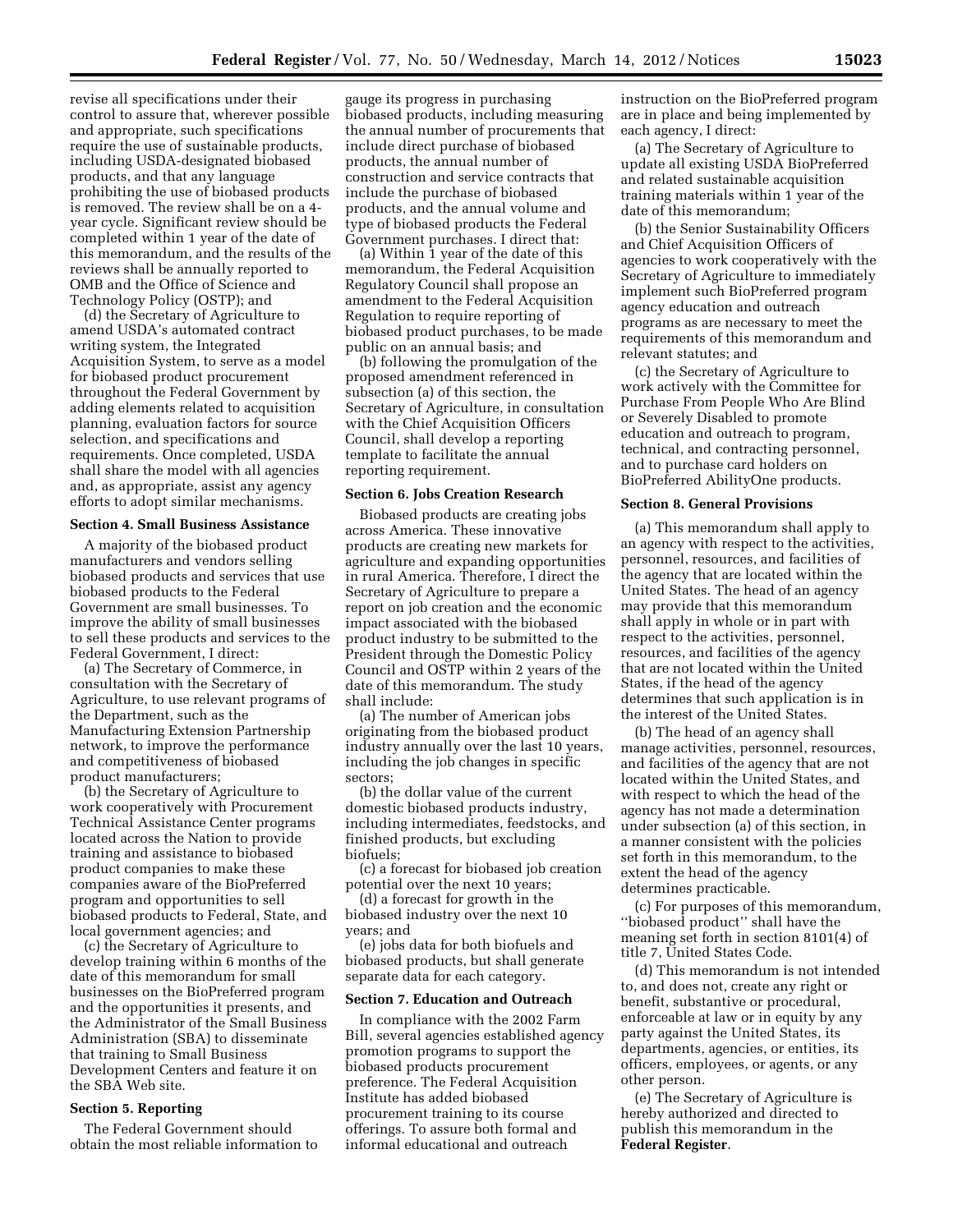revise all specifications under their control to assure that, wherever possible and appropriate, such specifications require the use of sustainable products, including USDA-designated biobased products, and that any language prohibiting the use of biobased products is removed. The review shall be on a 4 year cycle. Significant review should be completed within 1 year of the date of this memorandum, and the results of the reviews shall be annually reported to OMB and the Office of Science and Technology Policy (OSTP); and

(d) the Secretary of Agriculture to amend USDA's automated contract writing system, the Integrated Acquisition System, to serve as a model for biobased product procurement throughout the Federal Government by adding elements related to acquisition planning, evaluation factors for source selection, and specifications and requirements. Once completed, USDA shall share the model with all agencies and, as appropriate, assist any agency efforts to adopt similar mechanisms.

#### **Section 4. Small Business Assistance**

A majority of the biobased product manufacturers and vendors selling biobased products and services that use biobased products to the Federal Government are small businesses. To improve the ability of small businesses to sell these products and services to the Federal Government, I direct:

(a) The Secretary of Commerce, in consultation with the Secretary of Agriculture, to use relevant programs of the Department, such as the Manufacturing Extension Partnership network, to improve the performance and competitiveness of biobased product manufacturers;

(b) the Secretary of Agriculture to work cooperatively with Procurement Technical Assistance Center programs located across the Nation to provide training and assistance to biobased product companies to make these companies aware of the BioPreferred program and opportunities to sell biobased products to Federal, State, and local government agencies; and

(c) the Secretary of Agriculture to develop training within 6 months of the date of this memorandum for small businesses on the BioPreferred program and the opportunities it presents, and the Administrator of the Small Business Administration (SBA) to disseminate that training to Small Business Development Centers and feature it on the SBA Web site.

# **Section 5. Reporting**

The Federal Government should obtain the most reliable information to

gauge its progress in purchasing biobased products, including measuring the annual number of procurements that include direct purchase of biobased products, the annual number of construction and service contracts that include the purchase of biobased products, and the annual volume and type of biobased products the Federal Government purchases. I direct that:

(a) Within 1 year of the date of this memorandum, the Federal Acquisition Regulatory Council shall propose an amendment to the Federal Acquisition Regulation to require reporting of biobased product purchases, to be made public on an annual basis; and

(b) following the promulgation of the proposed amendment referenced in subsection (a) of this section, the Secretary of Agriculture, in consultation with the Chief Acquisition Officers Council, shall develop a reporting template to facilitate the annual reporting requirement.

## **Section 6. Jobs Creation Research**

Biobased products are creating jobs across America. These innovative products are creating new markets for agriculture and expanding opportunities in rural America. Therefore, I direct the Secretary of Agriculture to prepare a report on job creation and the economic impact associated with the biobased product industry to be submitted to the President through the Domestic Policy Council and OSTP within 2 years of the date of this memorandum. The study shall include:

(a) The number of American jobs originating from the biobased product industry annually over the last 10 years, including the job changes in specific sectors;

(b) the dollar value of the current domestic biobased products industry, including intermediates, feedstocks, and finished products, but excluding biofuels;

(c) a forecast for biobased job creation potential over the next 10 years;

(d) a forecast for growth in the biobased industry over the next 10 years; and

(e) jobs data for both biofuels and biobased products, but shall generate separate data for each category.

### **Section 7. Education and Outreach**

In compliance with the 2002 Farm Bill, several agencies established agency promotion programs to support the biobased products procurement preference. The Federal Acquisition Institute has added biobased procurement training to its course offerings. To assure both formal and informal educational and outreach

instruction on the BioPreferred program are in place and being implemented by each agency, I direct:

(a) The Secretary of Agriculture to update all existing USDA BioPreferred and related sustainable acquisition training materials within 1 year of the date of this memorandum;

(b) the Senior Sustainability Officers and Chief Acquisition Officers of agencies to work cooperatively with the Secretary of Agriculture to immediately implement such BioPreferred program agency education and outreach programs as are necessary to meet the requirements of this memorandum and relevant statutes; and

(c) the Secretary of Agriculture to work actively with the Committee for Purchase From People Who Are Blind or Severely Disabled to promote education and outreach to program, technical, and contracting personnel, and to purchase card holders on BioPreferred AbilityOne products.

## **Section 8. General Provisions**

(a) This memorandum shall apply to an agency with respect to the activities, personnel, resources, and facilities of the agency that are located within the United States. The head of an agency may provide that this memorandum shall apply in whole or in part with respect to the activities, personnel, resources, and facilities of the agency that are not located within the United States, if the head of the agency determines that such application is in the interest of the United States.

(b) The head of an agency shall manage activities, personnel, resources, and facilities of the agency that are not located within the United States, and with respect to which the head of the agency has not made a determination under subsection (a) of this section, in a manner consistent with the policies set forth in this memorandum, to the extent the head of the agency determines practicable.

(c) For purposes of this memorandum, ''biobased product'' shall have the meaning set forth in section 8101(4) of title 7, United States Code.

(d) This memorandum is not intended to, and does not, create any right or benefit, substantive or procedural, enforceable at law or in equity by any party against the United States, its departments, agencies, or entities, its officers, employees, or agents, or any other person.

(e) The Secretary of Agriculture is hereby authorized and directed to publish this memorandum in the **Federal Register**.